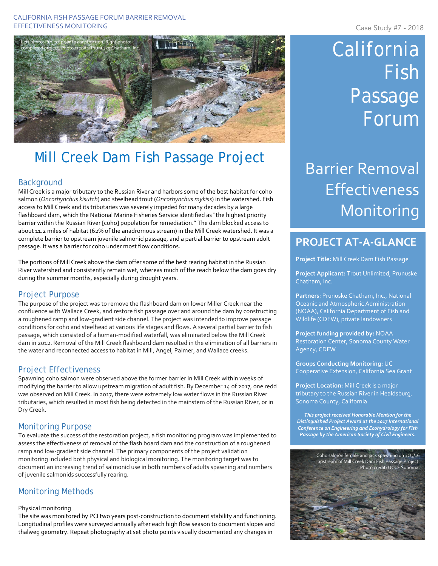### CALIFORNIA FISH PASSAGE FORUM BARRIER REMOVAL EFFECTIVENESS MONITORING **Case Study #7 - 2018**



# Mill Creek Dam Fish Passage Project

### **Background**

Mill Creek is a major tributary to the Russian River and harbors some of the best habitat for coho salmon (*Oncorhynchus kisutch*) and steelhead trout (*Oncorhynchus mykiss*) in the watershed. Fish access to Mill Creek and its tributaries was severely impeded for many decades by a large flashboard dam, which the National Marine Fisheries Service identified as "the highest priority barrier within the Russian River [coho] population for remediation." The dam blocked access to about 11.2 miles of habitat (62% of the anadromous stream) in the Mill Creek watershed. It was a complete barrier to upstream juvenile salmonid passage, and a partial barrier to upstream adult passage. It was a barrier for coho under most flow conditions.

The portions of Mill Creek above the dam offer some of the best rearing habitat in the Russian River watershed and consistently remain wet, whereas much of the reach below the dam goes dry during the summer months, especially during drought years.

### Project Purpose

The purpose of the project was to remove the flashboard dam on lower Miller Creek near the confluence with Wallace Creek, and restore fish passage over and around the dam by constructing a roughened ramp and low-gradient side channel. The project was intended to improve passage conditions for coho and steelhead at various life stages and flows. A several partial barrier to fish passage, which consisted of a human-modified waterfall, was eliminated below the Mill Creek dam in 2012. Removal of the Mill Creek flashboard dam resulted in the elimination of all barriers in the water and reconnected access to habitat in Mill, Angel, Palmer, and Wallace creeks.

### Project Effectiveness

Spawning coho salmon were observed above the former barrier in Mill Creek within weeks of modifying the barrier to allow upstream migration of adult fish. By December 14 of 2017, one redd was observed on Mill Creek. In 2017, there were extremely low water flows in the Russian River tributaries, which resulted in most fish being detected in the mainstem of the Russian River, or in Dry Creek.

### Monitoring Purpose

To evaluate the success of the restoration project, a fish monitoring program was implemented to assess the effectiveness of removal of the flash board dam and the construction of a roughened ramp and low-gradient side channel. The primary components of the project validation monitoring included both physical and biological monitoring. The monitoring target was to document an increasing trend of salmonid use in both numbers of adults spawning and numbers of juvenile salmonids successfully rearing.

## Monitoring Methods

### Physical monitoring

The site was monitored by PCI two years post-construction to document stability and functioning. Longitudinal profiles were surveyed annually after each high flow season to document slopes and thalweg geometry. Repeat photography at set photo points visually documented any changes in

# California Fish Passage Forum

# Barrier Removal Effectiveness Monitoring

# **PROJECT AT-A-GLANCE**

**Project Title:** Mill Creek Dam Fish Passage

**Project Applicant:** Trout Unlimited, Prunuske Chatham, Inc.

**Partners**: Prunuske Chatham, Inc., National Oceanic and Atmospheric Administration (NOAA), California Department of Fish and Wildlife (CDFW), private landowners

**Project funding provided by:** NOAA Restoration Center, Sonoma County Water Agency, CDFW

**Groups Conducting Monitoring:** UC Cooperative Extension, California Sea Grant

**Project Location:** Mill Creek is a major tributary to the Russian River in Healdsburg, Sonoma County, California

*This project received Honorable Mention for the Distinguished Project Award at the 2017 International Conference on Engineering and Ecohydrology for Fish Passage by the American Society of Civil Engineers.*

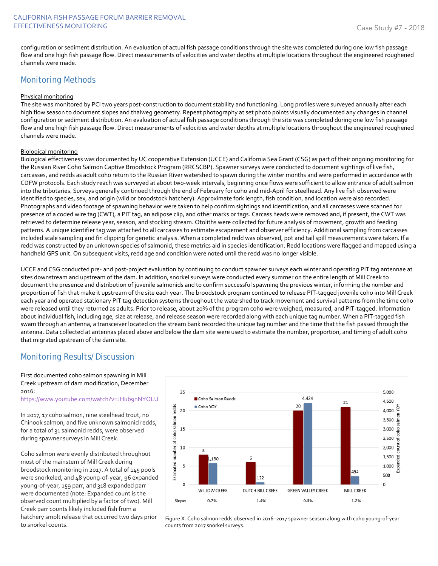configuration or sediment distribution. An evaluation of actual fish passage conditions through the site was completed during one low fish passage flow and one high fish passage flow. Direct measurements of velocities and water depths at multiple locations throughout the engineered roughened channels were made.

### Monitoring Methods

### Physical monitoring

The site was monitored by PCI two years post-construction to document stability and functioning. Long profiles were surveyed annually after each high flow season to document slopes and thalweg geometry. Repeat photography at set photo points visually documented any changes in channel configuration or sediment distribution. An evaluation of actual fish passage conditions through the site was completed during one low fish passage flow and one high fish passage flow. Direct measurements of velocities and water depths at multiple locations throughout the engineered roughened channels were made.

#### Biological monitoring

Biological effectiveness was documented by UC cooperative Extension (UCCE) and California Sea Grant (CSG) as part of their ongoing monitoring for the Russian River Coho Salmon Captive Broodstock Program (RRCSCBP). Spawner surveys were conducted to document sightings of live fish, carcasses, and redds as adult coho return to the Russian River watershed to spawn during the winter months and were performed in accordance with CDFW protocols. Each study reach was surveyed at about two-week intervals, beginning once flows were sufficient to allow entrance of adult salmon into the tributaries. Surveys generally continued through the end of February for coho and mid-April for steelhead. Any live fish observed were identified to species, sex, and origin (wild or broodstock hatchery). Approximate fork length, fish condition, and location were also recorded. Photographs and video footage of spawning behavior were taken to help confirm sightings and identification, and all carcasses were scanned for presence of a coded wire tag (CWT), a PIT tag, an adipose clip, and other marks or tags. Carcass heads were removed and, if present, the CWT was retrieved to determine release year, season, and stocking stream. Otoliths were collected for future analysis of movement, growth and feeding patterns. A unique identifier tag was attached to all carcasses to estimate escapement and observer efficiency. Additional sampling from carcasses included scale sampling and fin clipping for genetic analysis. When a completed redd was observed, pot and tail spill measurements were taken. If a redd was constructed by an unknown species of salmonid, these metrics aid in species identification. Redd locations were flagged and mapped using a handheld GPS unit. On subsequent visits, redd age and condition were noted until the redd was no longer visible.

UCCE and CSG conducted pre- and post-project evaluation by continuing to conduct spawner surveys each winter and operating PIT tag antennae at sites downstream and upstream of the dam. In addition, snorkel surveys were conducted every summer on the entire length of Mill Creek to document the presence and distribution of juvenile salmonids and to confirm successful spawning the previous winter, informing the number and proportion of fish that make it upstream of the site each year. The broodstock program continued to release PIT-tagged juvenile coho into Mill Creek each year and operated stationary PIT tag detection systems throughout the watershed to track movement and survival patterns from the time coho were released until they returned as adults. Prior to release, about 20% of the program coho were weighed, measured, and PIT-tagged. Information about individual fish, including age, size at release, and release season were recorded along with each unique tag number. When a PIT-tagged fish swam through an antenna, a transceiver located on the stream bank recorded the unique tag number and the time that the fish passed through the antenna. Data collected at antennas placed above and below the dam site were used to estimate the number, proportion, and timing of adult coho that migrated upstream of the dam site.

## Monitoring Results/Discussion

First documented coho salmon spawning in Mill Creek upstream of dam modification, December 2016:

<https://www.youtube.com/watch?v=JHub9nNYQLU>

In 2017, 17 coho salmon, nine steelhead trout, no Chinook salmon, and five unknown salmonid redds, for a total of 31 salmonid redds, were observed during spawner surveys in Mill Creek.

Coho salmon were evenly distributed throughout most of the mainstem of Mill Creek during broodstock monitoring in 2017. A total of 145 pools were snorkeled, and 48 young-of-year, 96 expanded young-of-year, 159 parr, and 318 expanded parr were documented (note: Expanded count is the observed count multiplied by a factor of two). Mill Creek parr counts likely included fish from a hatchery smolt release that occurred two days prior to snorkel counts.



Figure X. Coho salmon redds observed in 2016–2017 spawner season along with coho young-of-year counts from 2017 snorkel surveys.